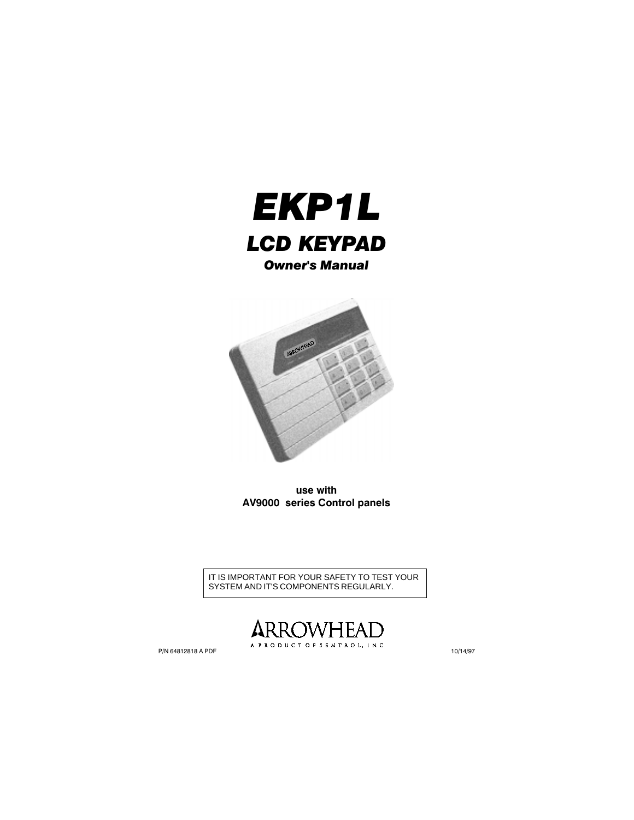



use with AV9000 series Control panels

IT IS IMPORTANT FOR YOUR SAFETY TO TEST YOUR SYSTEM AND IT'S COMPONENTS REGULARLY.

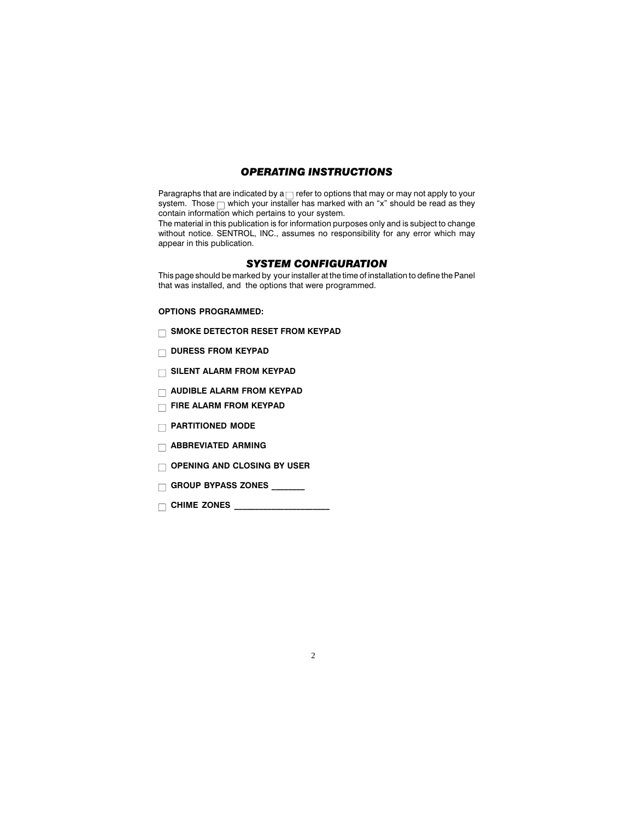## OPERATING INSTRUCTIONS

Paragraphs that are indicated by  $a \cap$  refer to options that may or may not apply to your system. Those  $\Box$  which your installer has marked with an "x" should be read as they contain information which pertains to your system.

The material in this publication is for information purposes only and is subject to change without notice. SENTROL, INC., assumes no responsibility for any error which may appear in this publication.

## SYSTEM CONFIGURATION

This page should be marked by your installer at the time of installation to define the Panel that was installed, and the options that were programmed.

2

#### OPTIONS PROGRAMMED:

- $\Box$  SMOKE DETECTOR RESET FROM KEYPAD
- $\Box$  DURESS FROM KEYPAD
- **SILENT ALARM FROM KEYPAD**
- **NUDIBLE ALARM FROM KEYPAD**
- **FIRE ALARM FROM KEYPAD**
- **PARTITIONED MODE**
- **ABBREVIATED ARMING**
- $\Box$  OPENING AND CLOSING BY USER
- $\Box$  GROUP BYPASS ZONES \_\_\_\_\_\_\_

CHIME ZONES \_\_\_\_\_\_\_\_\_\_\_\_\_\_\_\_\_\_\_\_\_\_\_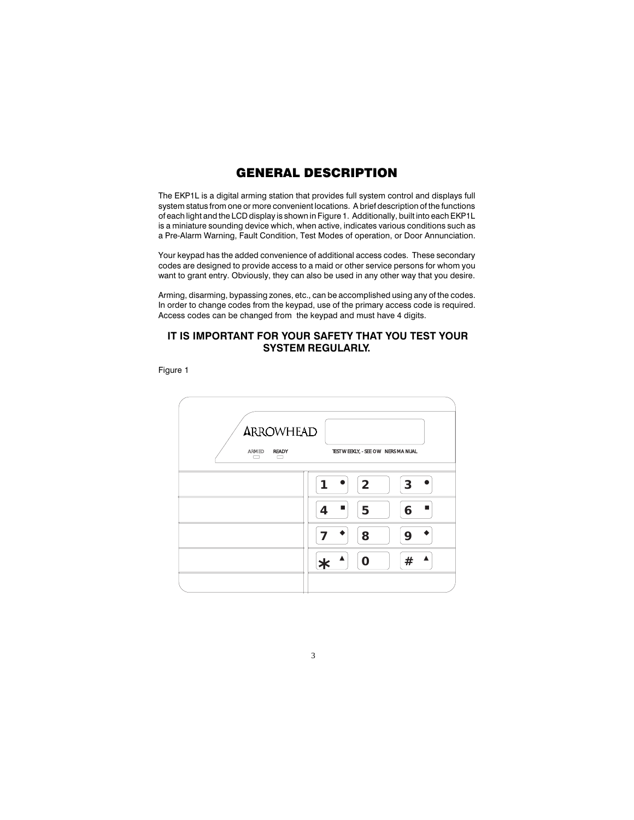# GENERAL DESCRIPTION

The EKP1L is a digital arming station that provides full system control and displays full system status from one or more convenient locations. A brief description of the functions of each light and the LCD display is shown in Figure 1. Additionally, built into each EKP1L is a miniature sounding device which, when active, indicates various conditions such as a Pre-Alarm Warning, Fault Condition, Test Modes of operation, or Door Annunciation.

Your keypad has the added convenience of additional access codes. These secondary codes are designed to provide access to a maid or other service persons for whom you want to grant entry. Obviously, they can also be used in any other way that you desire.

Arming, disarming, bypassing zones, etc., can be accomplished using any of the codes. In order to change codes from the keypad, use of the primary access code is required. Access codes can be changed from the keypad and must have 4 digits.

## IT IS IMPORTANT FOR YOUR SAFETY THAT YOU TEST YOUR SYSTEM REGULARLY.

Figure 1

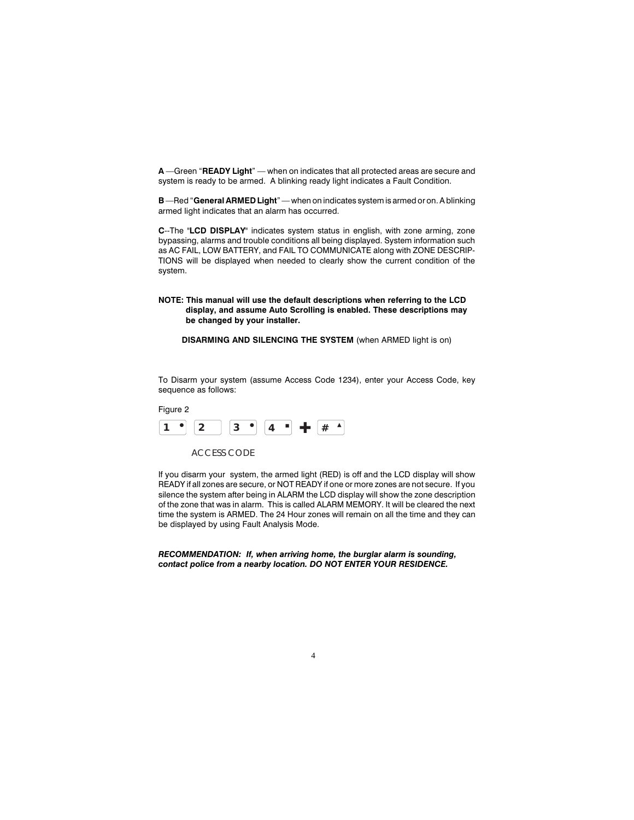A -Green "READY Light" - when on indicates that all protected areas are secure and system is ready to be armed. A blinking ready light indicates a Fault Condition.

B-Red "General ARMED Light" - when on indicates system is armed or on. A blinking armed light indicates that an alarm has occurred.

C--The "LCD DISPLAY" indicates system status in english, with zone arming, zone bypassing, alarms and trouble conditions all being displayed. System information such as AC FAIL, LOW BATTERY, and FAIL TO COMMUNICATE along with ZONE DESCRIP-TIONS will be displayed when needed to clearly show the current condition of the system.

#### NOTE: This manual will use the default descriptions when referring to the LCD display, and assume Auto Scrolling is enabled. These descriptions may be changed by your installer.

DISARMING AND SILENCING THE SYSTEM (when ARMED light is on)

To Disarm your system (assume Access Code 1234), enter your Access Code, key sequence as follows:



If you disarm your system, the armed light (RED) is off and the LCD display will show READY if all zones are secure, or NOT READY if one or more zones are not secure. If you silence the system after being in ALARM the LCD display will show the zone description of the zone that was in alarm. This is called ALARM MEMORY. It will be cleared the next time the system is ARMED. The 24 Hour zones will remain on all the time and they can be displayed by using Fault Analysis Mode.

RECOMMENDATION: If, when arriving home, the burglar alarm is sounding, contact police from a nearby location. DO NOT ENTER YOUR RESIDENCE.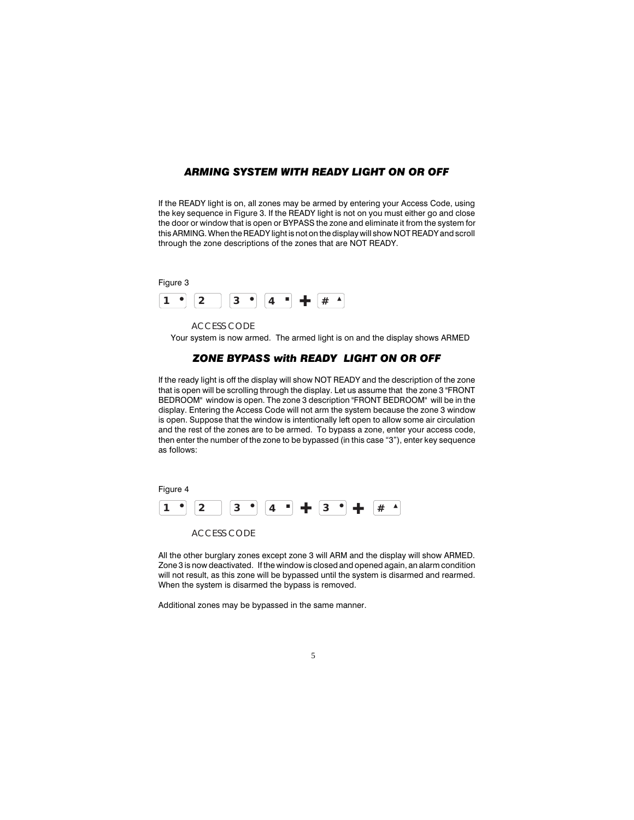## ARMING SYSTEM WITH READY LIGHT ON OR OFF

If the READY light is on, all zones may be armed by entering your Access Code, using the key sequence in Figure 3. If the READY light is not on you must either go and close the door or window that is open or BYPASS the zone and eliminate it from the system for this ARMING. When the READY light is not on the display will show NOT READY and scroll through the zone descriptions of the zones that are NOT READY.



ACCESS CODE Your system is now armed. The armed light is on and the display shows ARMED

### ZONE BYPASS with READY LIGHT ON OR OFF

If the ready light is off the display will show NOT READY and the description of the zone that is open will be scrolling through the display. Let us assume that the zone 3 "FRONT BEDROOM" window is open. The zone 3 description "FRONT BEDROOM" will be in the display. Entering the Access Code will not arm the system because the zone 3 window is open. Suppose that the window is intentionally left open to allow some air circulation and the rest of the zones are to be armed. To bypass a zone, enter your access code, then enter the number of the zone to be bypassed (in this case "3"), enter key sequence as follows:



All the other burglary zones except zone 3 will ARM and the display will show ARMED. Zone 3 is now deactivated. If the window is closed and opened again, an alarm condition will not result, as this zone will be bypassed until the system is disarmed and rearmed. When the system is disarmed the bypass is removed.

Additional zones may be bypassed in the same manner.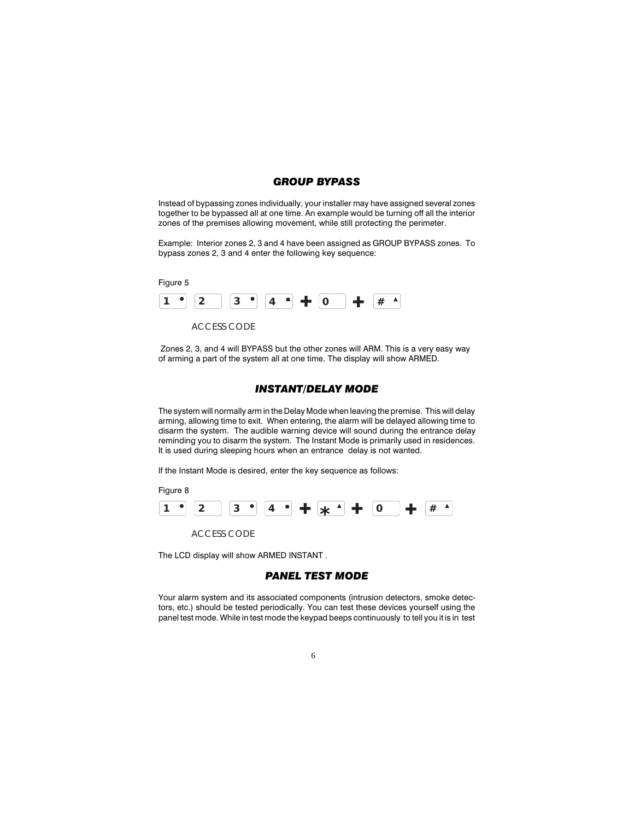## GROUP BYPASS

Instead of bypassing zones individually, your installer may have assigned several zones together to be bypassed all at one time. An example would be turning off all the interior zones of the premises allowing movement, while still protecting the perimeter.

Example: Interior zones 2, 3 and 4 have been assigned as GROUP BYPASS zones. To bypass zones 2, 3 and 4 enter the following key sequence:



 Zones 2, 3, and 4 will BYPASS but the other zones will ARM. This is a very easy way of arming a part of the system all at one time. The display will show ARMED.

### INSTANT/DELAY MODE

The system will normally arm in the Delay Mode when leaving the premise. This will delay arming, allowing time to exit. When entering, the alarm will be delayed allowing time to disarm the system. The audible warning device will sound during the entrance delay reminding you to disarm the system. The Instant Mode is primarily used in residences. It is used during sleeping hours when an entrance delay is not wanted.

If the Instant Mode is desired, enter the key sequence as follows:



The LCD display will show ARMED INSTANT .

## PANEL TEST MODE

Your alarm system and its associated components (intrusion detectors, smoke detectors, etc.) should be tested periodically. You can test these devices yourself using the panel test mode. While in test mode the keypad beeps continuously to tell you it is in test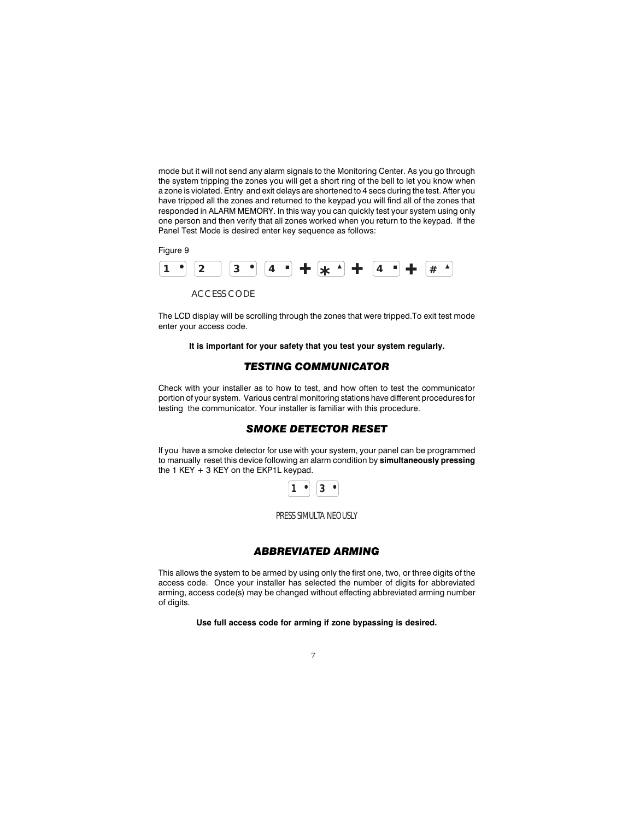mode but it will not send any alarm signals to the Monitoring Center. As you go through the system tripping the zones you will get a short ring of the bell to let you know when a zone is violated. Entry and exit delays are shortened to 4 secs during the test. After you have tripped all the zones and returned to the keypad you will find all of the zones that responded in ALARM MEMORY. In this way you can quickly test your system using only one person and then verify that all zones worked when you return to the keypad. If the Panel Test Mode is desired enter key sequence as follows:



The LCD display will be scrolling through the zones that were tripped.To exit test mode enter your access code.

It is important for your safety that you test your system regularly.

## TESTING COMMUNICATOR

Check with your installer as to how to test, and how often to test the communicator portion of your system. Various central monitoring stations have different procedures for testing the communicator. Your installer is familiar with this procedure.

#### SMOKE DETECTOR RESET

If you have a smoke detector for use with your system, your panel can be programmed to manually reset this device following an alarm condition by simultaneously pressing the 1 KEY  $+$  3 KEY on the EKP1L keypad.



### ABBREVIATED ARMING

This allows the system to be armed by using only the first one, two, or three digits of the access code. Once your installer has selected the number of digits for abbreviated arming, access code(s) may be changed without effecting abbreviated arming number of digits.

Use full access code for arming if zone bypassing is desired.

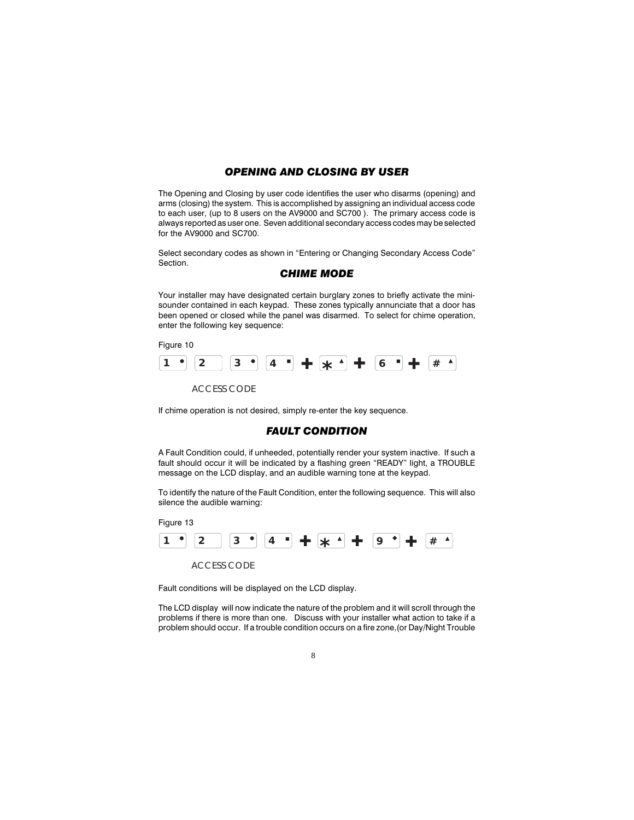## OPENING AND CLOSING BY USER

The Opening and Closing by user code identifies the user who disarms (opening) and arms (closing) the system. This is accomplished by assigning an individual access code to each user, (up to 8 users on the AV9000 and SC700 ). The primary access code is always reported as user one. Seven additional secondary access codes may be selected for the AV9000 and SC700.

Select secondary codes as shown in "Entering or Changing Secondary Access Code" Section.

### CHIME MODE

Your installer may have designated certain burglary zones to briefly activate the minisounder contained in each keypad. These zones typically annunciate that a door has been opened or closed while the panel was disarmed. To select for chime operation, enter the following key sequence:

Figure 10



If chime operation is not desired, simply re-enter the key sequence.

### FAULT CONDITION

A Fault Condition could, if unheeded, potentially render your system inactive. If such a fault should occur it will be indicated by a flashing green "READY" light, a TROUBLE message on the LCD display, and an audible warning tone at the keypad.

To identify the nature of the Fault Condition, enter the following sequence. This will also silence the audible warning:

Figure 13



Fault conditions will be displayed on the LCD display.

The LCD display will now indicate the nature of the problem and it will scroll through the problems if there is more than one. Discuss with your installer what action to take if a problem should occur. If a trouble condition occurs on a fire zone,(or Day/Night Trouble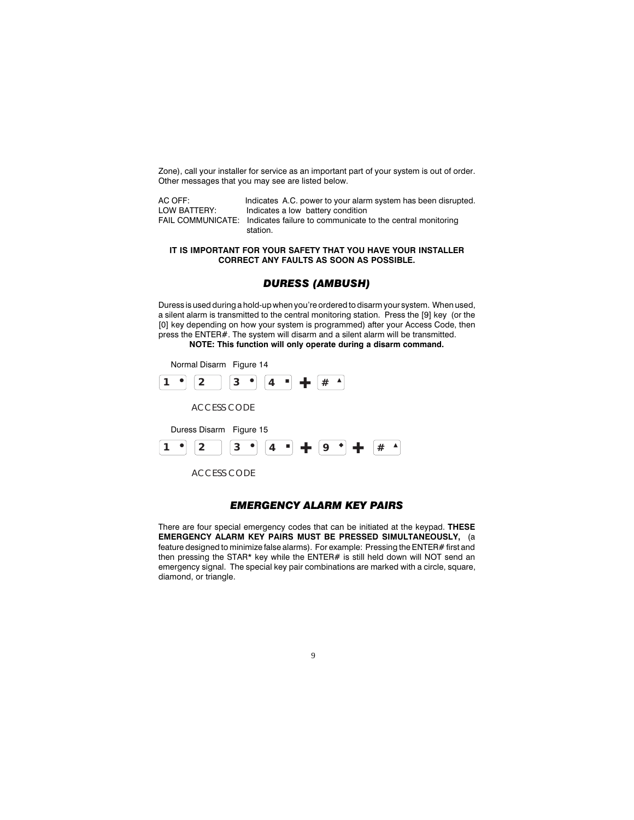Zone), call your installer for service as an important part of your system is out of order. Other messages that you may see are listed below.

| AC OFF:      | Indicates A.C. power to your alarm system has been disrupted.                |
|--------------|------------------------------------------------------------------------------|
| LOW BATTERY: | Indicates a low battery condition                                            |
|              | FAIL COMMUNICATE: Indicates failure to communicate to the central monitoring |
|              | station.                                                                     |

#### IT IS IMPORTANT FOR YOUR SAFETY THAT YOU HAVE YOUR INSTALLER CORRECT ANY FAULTS AS SOON AS POSSIBLE.

### DURESS (AMBUSH)

Duress is used during a hold-up when you're ordered to disarm your system. When used, a silent alarm is transmitted to the central monitoring station. Press the [9] key (or the [0] key depending on how your system is programmed) after your Access Code, then press the ENTER#. The system will disarm and a silent alarm will be transmitted. NOTE: This function will only operate during a disarm command.



### EMERGENCY ALARM KEY PAIRS

There are four special emergency codes that can be initiated at the keypad. THESE EMERGENCY ALARM KEY PAIRS MUST BE PRESSED SIMULTANEOUSLY, (a feature designed to minimize false alarms). For example: Pressing the ENTER# first and then pressing the STAR\* key while the ENTER# is still held down will NOT send an emergency signal. The special key pair combinations are marked with a circle, square, diamond, or triangle.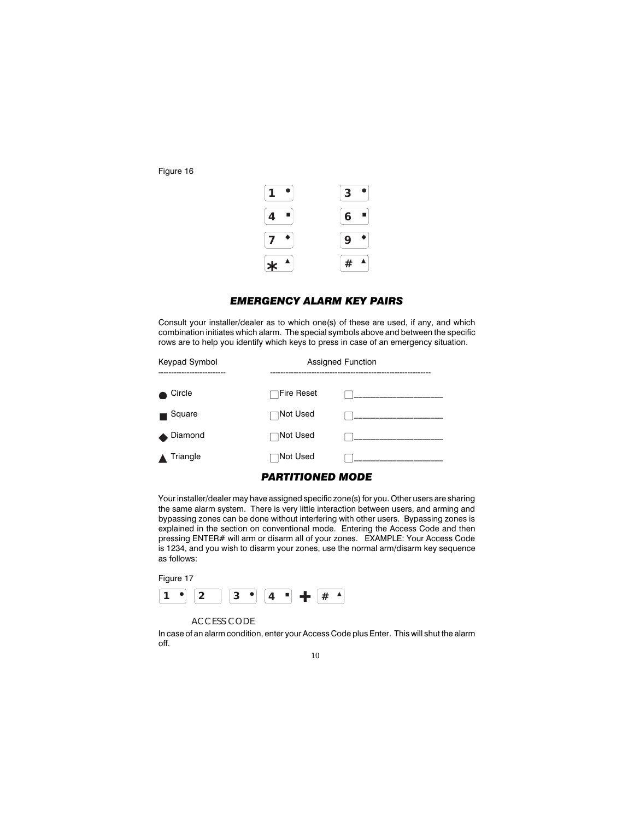Figure 16



### EMERGENCY ALARM KEY PAIRS

Consult your installer/dealer as to which one(s) of these are used, if any, and which combination initiates which alarm. The special symbols above and between the specific rows are to help you identify which keys to press in case of an emergency situation.

| Keypad Symbol<br>------------------- | <b>Assigned Function</b> |  |
|--------------------------------------|--------------------------|--|
| Circle                               | $\Box$ Fire Reset        |  |
| Square                               | ⊺Not Used                |  |
| Diamond                              | <b>□Not Used</b>         |  |
| Triangle                             | ∃Not Used                |  |

### PARTITIONED MODE

Your installer/dealer may have assigned specific zone(s) for you. Other users are sharing the same alarm system. There is very little interaction between users, and arming and bypassing zones can be done without interfering with other users. Bypassing zones is explained in the section on conventional mode. Entering the Access Code and then pressing ENTER# will arm or disarm all of your zones. EXAMPLE: Your Access Code is 1234, and you wish to disarm your zones, use the normal arm/disarm key sequence as follows:



ACCESS CODE

In case of an alarm condition, enter your Access Code plus Enter. This will shut the alarm off.

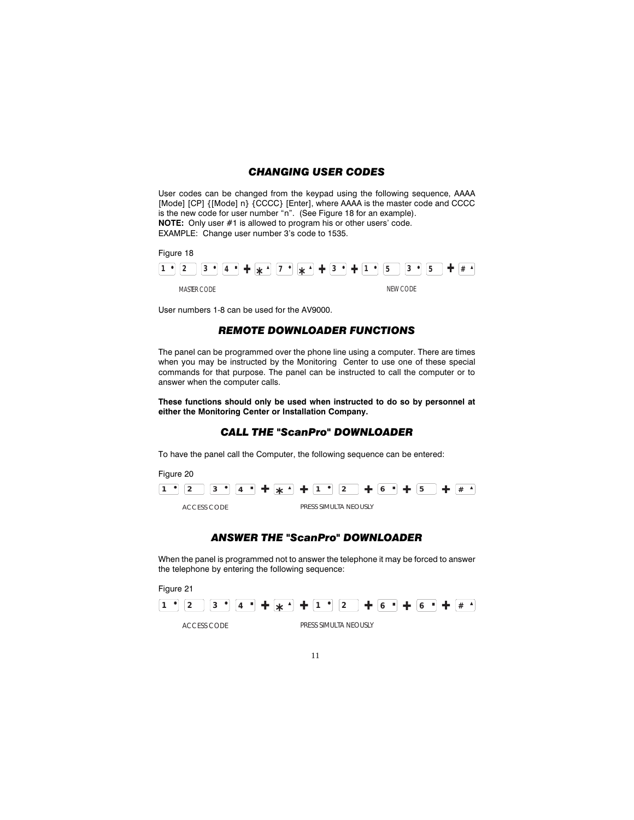## CHANGING USER CODES

User codes can be changed from the keypad using the following sequence, AAAA [Mode] [CP] {[Mode] n} {CCCC} [Enter], where AAAA is the master code and CCCC is the new code for user number "n". (See Figure 18 for an example). NOTE: Only user #1 is allowed to program his or other users' code. EXAMPLE: Change user number 3's code to 1535.



User numbers 1-8 can be used for the AV9000.

### REMOTE DOWNLOADER FUNCTIONS

The panel can be programmed over the phone line using a computer. There are times when you may be instructed by the Monitoring Center to use one of these special commands for that purpose. The panel can be instructed to call the computer or to answer when the computer calls.

These functions should only be used when instructed to do so by personnel at either the Monitoring Center or Installation Company.

## CALL THE "ScanPro" DOWNLOADER

To have the panel call the Computer, the following sequence can be entered:



## ANSWER THE "ScanPro" DOWNLOADER

When the panel is programmed not to answer the telephone it may be forced to answer the telephone by entering the following sequence:

Figure 21

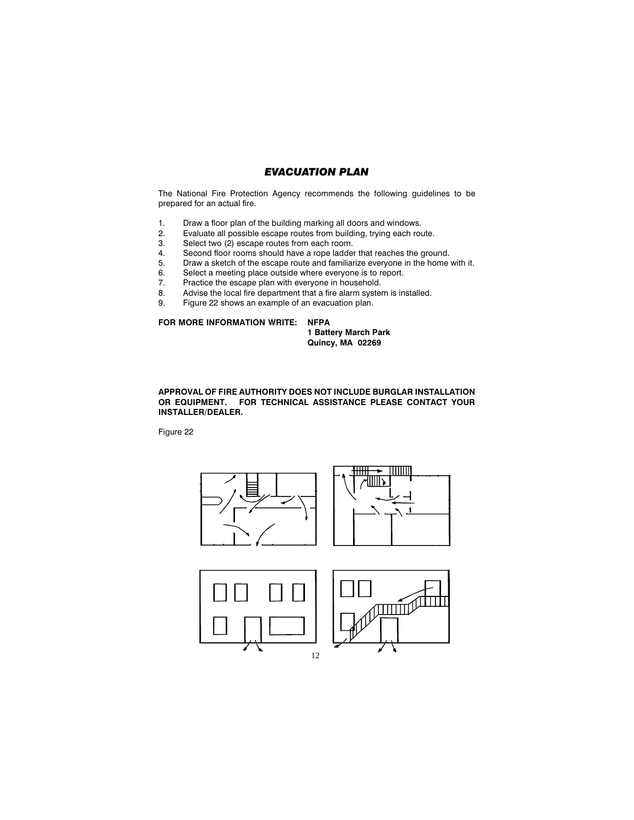## EVACUATION PLAN

The National Fire Protection Agency recommends the following guidelines to be prepared for an actual fire.

- 1. Draw a floor plan of the building marking all doors and windows.<br>2. Evaluate all possible escape routes from building, trying each rou
- Evaluate all possible escape routes from building, trying each route.
- 3. Select two (2) escape routes from each room.
- 4. Second floor rooms should have a rope ladder that reaches the ground.<br>5. Draw a sketch of the escape route and familiarize everyone in the home
- 5. Draw a sketch of the escape route and familiarize everyone in the home with it.<br>6. Select a meeting place outside where everyone is to report.
- Select a meeting place outside where everyone is to report.
- 7. Practice the escape plan with everyone in household.<br>8. Advise the local fire department that a fire alarm system
- Advise the local fire department that a fire alarm system is installed.
- 9. Figure 22 shows an example of an evacuation plan.

#### FOR MORE INFORMATION WRITE: NFPA

1 Battery March Park Quincy, MA 02269

APPROVAL OF FIRE AUTHORITY DOES NOT INCLUDE BURGLAR INSTALLATION OR EQUIPMENT. FOR TECHNICAL ASSISTANCE PLEASE CONTACT YOUR INSTALLER/DEALER.

Figure 22





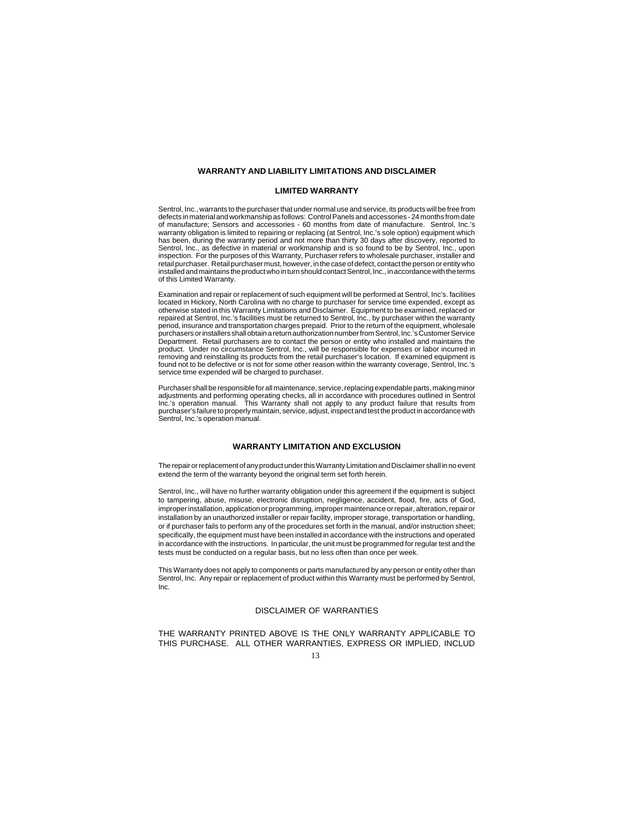#### **WARRANTY AND LIABILITY LIMITATIONS AND DISCLAIMER**

#### **LIMITED WARRANTY**

Sentrol, Inc., warrants to the purchaser that under normal use and service, its products will be free from defects in material and workmanship as follows: Control Panels and accessories - 24 months from date of manufacture; Sensors and accessories - 60 months from date of manufacture. Sentrol, Inc.'s warranty obligation is limited to repairing or replacing (at Sentrol, Inc.'s sole option) equipment which has been, during the warranty period and not more than thirty 30 days after discovery, reported to Sentrol, Inc., as defective in material or workmanship and is so found to be by Sentrol, Inc., upon inspection. For the purposes of this Warranty, Purchaser refers to wholesale purchaser, installer and retail purchaser. Retail purchaser must, however, in the case of defect, contact the person or entity who installed and maintains the product who in turn should contact Sentrol, Inc., in accordance with the terms of this Limited Warranty.

Examination and repair or replacement of such equipment will be performed at Sentrol, Inc's. facilities located in Hickory, North Carolina with no charge to purchaser for service time expended, except as otherwise stated in this Warranty Limitations and Disclaimer. Equipment to be examined, replaced or repaired at Sentrol, Inc.'s facilities must be returned to Sentrol, Inc., by purchaser within the warranty period, insurance and transportation charges prepaid. Prior to the return of the equipment, wholesale purchasers or installers shall obtain a return authorization number from Sentrol, Inc.'s Customer Service Department. Retail purchasers are to contact the person or entity who installed and maintains the product. Under no circumstance Sentrol, Inc., will be responsible for expenses or labor incurred in removing and reinstalling its products from the retail purchaser's location. If examined equipment is found not to be defective or is not for some other reason within the warranty coverage, Sentrol, Inc.'s service time expended will be charged to purchaser.

Purchaser shall be responsible for all maintenance, service, replacing expendable parts, making minor adjustments and performing operating checks, all in accordance with procedures outlined in Sentrol Inc.'s operation manual. This Warranty shall not apply to any product failure that results from purchaser's failure to properly maintain, service, adjust, inspect and test the product in accordance with Sentrol, Inc.'s operation manual.

#### **WARRANTY LIMITATION AND EXCLUSION**

The repair or replacement of any product under this Warranty Limitation and Disclaimer shall in no event extend the term of the warranty beyond the original term set forth herein.

Sentrol, Inc., will have no further warranty obligation under this agreement if the equipment is subject to tampering, abuse, misuse, electronic disruption, negligence, accident, flood, fire, acts of God, improper installation, application or programming, improper maintenance or repair, alteration, repair or installation by an unauthorized installer or repair facility, improper storage, transportation or handling, or if purchaser fails to perform any of the procedures set forth in the manual, and/or instruction sheet; specifically, the equipment must have been installed in accordance with the instructions and operated in accordance with the instructions. In particular, the unit must be programmed for regular test and the tests must be conducted on a regular basis, but no less often than once per week.

This Warranty does not apply to components or parts manufactured by any person or entity other than Sentrol, Inc. Any repair or replacement of product within this Warranty must be performed by Sentrol, Inc.

#### DISCLAIMER OF WARRANTIES

THE WARRANTY PRINTED ABOVE IS THE ONLY WARRANTY APPLICABLE TO THIS PURCHASE. ALL OTHER WARRANTIES, EXPRESS OR IMPLIED, INCLUD